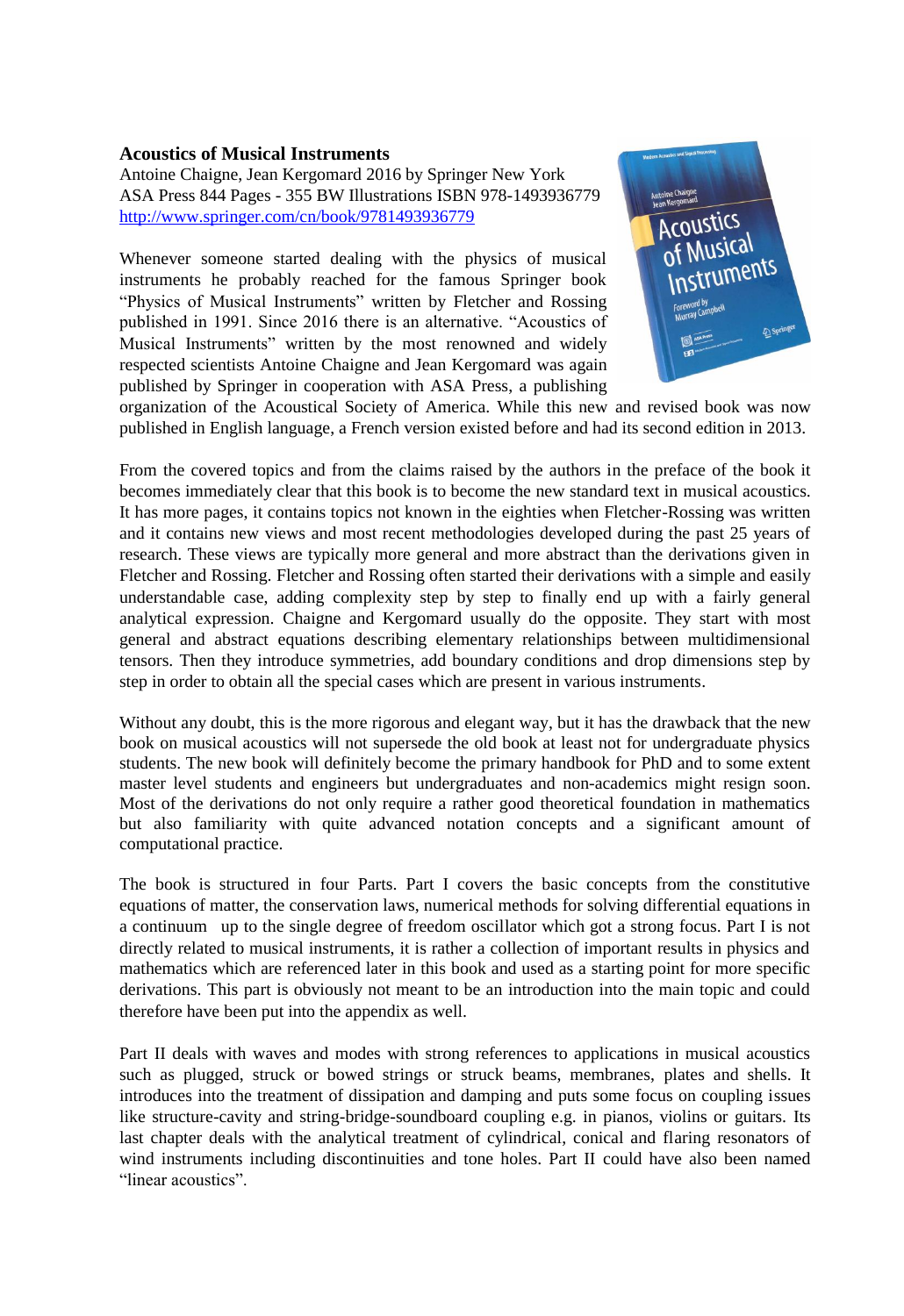## **Acoustics of Musical Instruments**

Antoine Chaigne, Jean Kergomard 2016 by Springer New York ASA Press 844 Pages - 355 BW Illustrations ISBN 978-1493936779 http://www.springer.com/cn/book/9781493936779

Whenever someone started dealing with the physics of musical instruments he probably reached for the famous Springer book "Physics of Musical Instruments" written by Fletcher and Rossing published in 1991. Since 2016 there is an alternative. "Acoustics of Musical Instruments" written by the most renowned and widely respected scientists Antoine Chaigne and Jean Kergomard was again published by Springer in cooperation with ASA Press, a publishing



organization of the Acoustical Society of America. While this new and revised book was now published in English language, a French version existed before and had its second edition in 2013.

From the covered topics and from the claims raised by the authors in the preface of the book it becomes immediately clear that this book is to become the new standard text in musical acoustics. It has more pages, it contains topics not known in the eighties when Fletcher-Rossing was written and it contains new views and most recent methodologies developed during the past 25 years of research. These views are typically more general and more abstract than the derivations given in Fletcher and Rossing. Fletcher and Rossing often started their derivations with a simple and easily understandable case, adding complexity step by step to finally end up with a fairly general analytical expression. Chaigne and Kergomard usually do the opposite. They start with most general and abstract equations describing elementary relationships between multidimensional tensors. Then they introduce symmetries, add boundary conditions and drop dimensions step by step in order to obtain all the special cases which are present in various instruments.

Without any doubt, this is the more rigorous and elegant way, but it has the drawback that the new book on musical acoustics will not supersede the old book at least not for undergraduate physics students. The new book will definitely become the primary handbook for PhD and to some extent master level students and engineers but undergraduates and non-academics might resign soon. Most of the derivations do not only require a rather good theoretical foundation in mathematics but also familiarity with quite advanced notation concepts and a significant amount of computational practice.

The book is structured in four Parts. Part I covers the basic concepts from the constitutive equations of matter, the conservation laws, numerical methods for solving differential equations in a continuum up to the single degree of freedom oscillator which got a strong focus. Part I is not directly related to musical instruments, it is rather a collection of important results in physics and mathematics which are referenced later in this book and used as a starting point for more specific derivations. This part is obviously not meant to be an introduction into the main topic and could therefore have been put into the appendix as well.

Part II deals with waves and modes with strong references to applications in musical acoustics such as plugged, struck or bowed strings or struck beams, membranes, plates and shells. It introduces into the treatment of dissipation and damping and puts some focus on coupling issues like structure-cavity and string-bridge-soundboard coupling e.g. in pianos, violins or guitars. Its last chapter deals with the analytical treatment of cylindrical, conical and flaring resonators of wind instruments including discontinuities and tone holes. Part II could have also been named "linear acoustics".